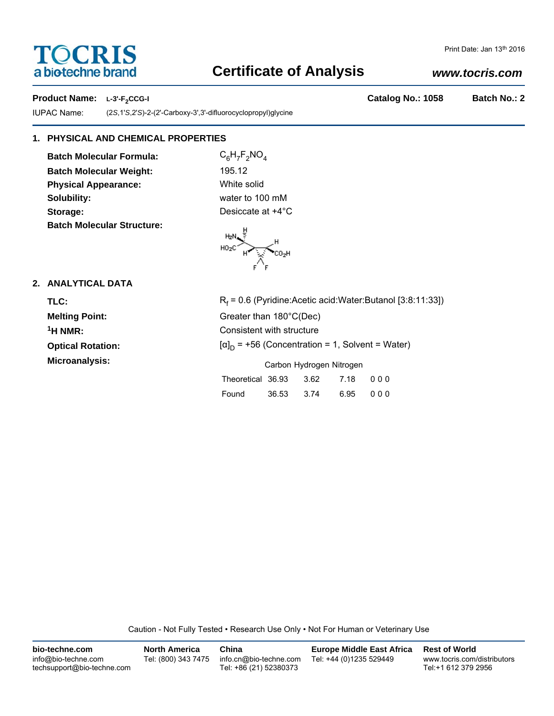# **TOCRIS** a biotechne brand

# **Certificate of Analysis**

# Print Date: Jan 13th 2016

## *www.tocris.com*

**Product Name:** L-3'-F<sub>2</sub>CCG-I **Catalog No.: 1058** Batch No.: 2

IUPAC Name: (2*S*,1'*S*,2'*S*)-2-(2'-Carboxy-3',3'-difluorocyclopropyl)glycine

## **1. PHYSICAL AND CHEMICAL PROPERTIES**

**Batch Molecular Formula:** C<sub>6</sub>H<sub>7</sub>F<sub>2</sub>NO<sub>4</sub> **Batch Molecular Weight:** 195.12 **Physical Appearance:** White solid **Solubility:** water to 100 mM **Storage:** Desiccate at  $+4^{\circ}$ C **Batch Molecular Structure:**

 $\begin{picture}(120,110) \put(0,0){\line(1,0){10}} \put(15,0){\line(1,0){10}} \put(15,0){\line(1,0){10}} \put(15,0){\line(1,0){10}} \put(15,0){\line(1,0){10}} \put(15,0){\line(1,0){10}} \put(15,0){\line(1,0){10}} \put(15,0){\line(1,0){10}} \put(15,0){\line(1,0){10}} \put(15,0){\line(1,0){10}} \put(15,0){\line(1,0){10}} \put(15,0){\line$ 

# **2. ANALYTICAL DATA**

| TLC:                     | R,  |
|--------------------------|-----|
| <b>Melting Point:</b>    | Gr  |
| $1$ H NMR:               | Сc  |
| <b>Optical Rotation:</b> | ſαl |
| Microanalysis:           |     |

| TLC:                     | $R_f$ = 0.6 (Pyridine: Acetic acid: Water: Butanol [3:8:11:33]) |  |  |
|--------------------------|-----------------------------------------------------------------|--|--|
| <b>Melting Point:</b>    | Greater than 180°C(Dec)                                         |  |  |
| <sup>1</sup> H NMR:      | Consistent with structure                                       |  |  |
| <b>Optical Rotation:</b> | $[\alpha]_D$ = +56 (Concentration = 1, Solvent = Water)         |  |  |
| Microanalysis:           | Carbon Hydrogen Nitrogen                                        |  |  |

| Theoretical 36.93 3.62 7.18 000 |            |          |
|---------------------------------|------------|----------|
| Found                           | 36.53 3.74 | 6.95 000 |

Caution - Not Fully Tested • Research Use Only • Not For Human or Veterinary Use

| bio-techne.com                                    | <b>North America</b> | China                                            | <b>Europe Middle East Africa</b> | <b>Rest of World</b>                               |
|---------------------------------------------------|----------------------|--------------------------------------------------|----------------------------------|----------------------------------------------------|
| info@bio-techne.com<br>techsupport@bio-techne.com | Tel: (800) 343 7475  | info.cn@bio-techne.com<br>Tel: +86 (21) 52380373 | Tel: +44 (0)1235 529449          | www.tocris.com/distributors<br>Tel:+1 612 379 2956 |